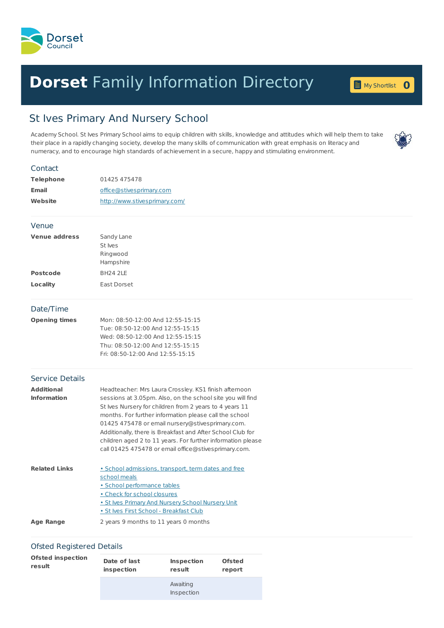

## **Dorset** Family [Information](home.page) Directory **0**



## St Ives Primary And Nursery School

Academy School. St Ives Primary School aims to equip children with skills, knowledge and attitudes which will help them to take their place in a rapidly changing society, develop the many skills of communication with great emphasis on literacy and numeracy, and to encourage high standards of achievement in a secure, happy and stimulating environment.

| Contact                                 |                                                                                                                                                                                                                                                                                                                                                                                                                                                                                   |
|-----------------------------------------|-----------------------------------------------------------------------------------------------------------------------------------------------------------------------------------------------------------------------------------------------------------------------------------------------------------------------------------------------------------------------------------------------------------------------------------------------------------------------------------|
| <b>Telephone</b>                        | 01425 475478                                                                                                                                                                                                                                                                                                                                                                                                                                                                      |
| <b>Email</b>                            | office@stivesprimary.com                                                                                                                                                                                                                                                                                                                                                                                                                                                          |
| Website                                 | http://www.stivesprimary.com/                                                                                                                                                                                                                                                                                                                                                                                                                                                     |
| Venue                                   |                                                                                                                                                                                                                                                                                                                                                                                                                                                                                   |
| <b>Venue address</b>                    | Sandy Lane<br>St Ives<br>Ringwood<br>Hampshire                                                                                                                                                                                                                                                                                                                                                                                                                                    |
| <b>Postcode</b>                         | <b>BH24 2LE</b>                                                                                                                                                                                                                                                                                                                                                                                                                                                                   |
| <b>Locality</b>                         | East Dorset                                                                                                                                                                                                                                                                                                                                                                                                                                                                       |
| Date/Time                               |                                                                                                                                                                                                                                                                                                                                                                                                                                                                                   |
| <b>Opening times</b>                    | Mon: 08:50-12:00 And 12:55-15:15<br>Tue: 08:50-12:00 And 12:55-15:15<br>Wed: 08:50-12:00 And 12:55-15:15<br>Thu: 08:50-12:00 And 12:55-15:15<br>Fri: 08:50-12:00 And 12:55-15:15                                                                                                                                                                                                                                                                                                  |
| <b>Service Details</b>                  |                                                                                                                                                                                                                                                                                                                                                                                                                                                                                   |
| <b>Additional</b><br><b>Information</b> | Headteacher: Mrs Laura Crossley. KS1 finish afternoon<br>sessions at 3.05pm. Also, on the school site you will find<br>St Ives Nursery for children from 2 years to 4 years 11<br>months. For further information please call the school<br>01425 475478 or email nursery@stivesprimary.com.<br>Additionally, there is Breakfast and After School Club for<br>children aged 2 to 11 years. For further information please<br>call 01425 475478 or email office@stivesprimary.com. |
| <b>Related Links</b>                    | · School admissions, transport, term dates and free<br>school meals<br>· School performance tables<br>• Check for school closures<br>. St Ives Primary And Nursery School Nursery Unit<br>· St Ives First School - Breakfast Club                                                                                                                                                                                                                                                 |
| <b>Age Range</b>                        | 2 years 9 months to 11 years 0 months                                                                                                                                                                                                                                                                                                                                                                                                                                             |

## Ofsted Registered Details

| <b>Ofsted inspection</b> | Date of last | <b>Inspection</b>      | <b>Ofsted</b> |
|--------------------------|--------------|------------------------|---------------|
| result                   | inspection   | result                 | report        |
|                          |              | Awaiting<br>Inspection |               |